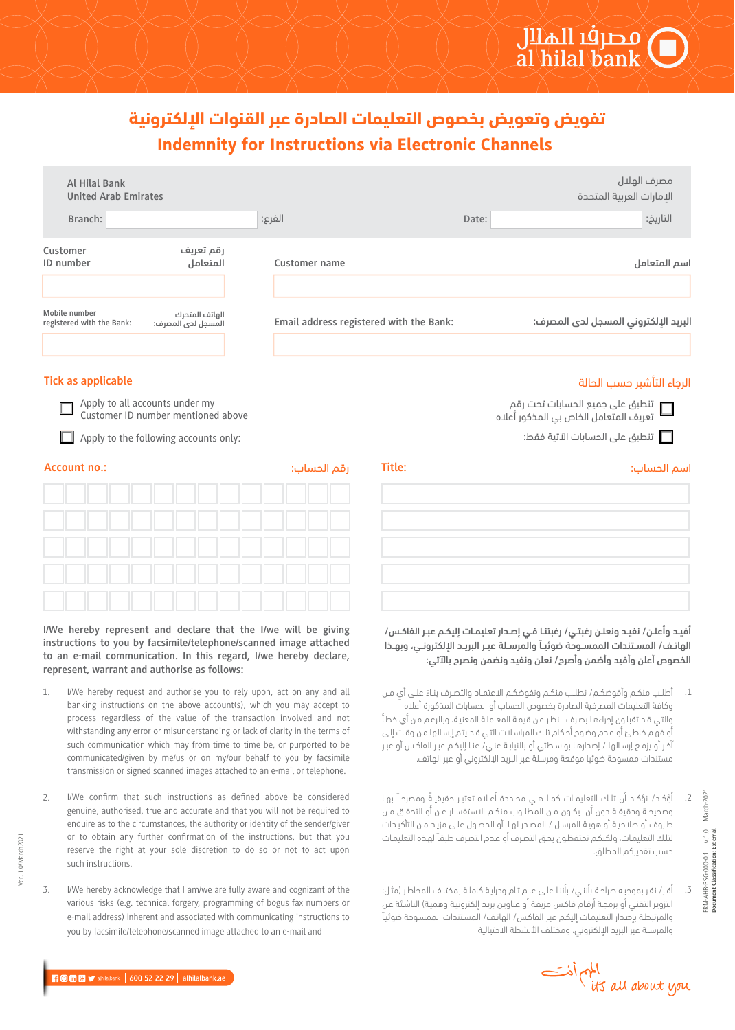## Indemnity for Instructions via Electronic Channels **تفويض وتعويض بخصوص التعليمات الصادرة عبر القنوات الإلكترونية**

| Al Hilal Bank<br><b>United Arab Emirates</b>                                                                                                                                                            |                                         | مصرف الهلال<br>الإمارات العربية المتحدة                                                                                                                                                                                     |
|---------------------------------------------------------------------------------------------------------------------------------------------------------------------------------------------------------|-----------------------------------------|-----------------------------------------------------------------------------------------------------------------------------------------------------------------------------------------------------------------------------|
| Branch:                                                                                                                                                                                                 | الفرع:                                  | التاريخ:<br>Date:                                                                                                                                                                                                           |
| رقم تعريف<br>Customer<br>ID number<br>المتعامل                                                                                                                                                          | <b>Customer name</b>                    | اسم المتعامل                                                                                                                                                                                                                |
| Mobile number<br>الهاتف المتحرك<br>registered with the Bank:<br>المسجل لدى المصرف:                                                                                                                      | Email address registered with the Bank: | البريد الإلكتروني المسجل لدى المصرف:                                                                                                                                                                                        |
| <b>Tick as applicable</b>                                                                                                                                                                               |                                         | الرجاء التأشير حسب الحالة                                                                                                                                                                                                   |
| Apply to all accounts under my<br>Customer ID number mentioned above                                                                                                                                    |                                         | ل تنطبق على جميع الحسابات تحت رقم العلاه<br>التعريف المتعامل الخاص بي المذكور أعلاه                                                                                                                                         |
| Apply to the following accounts only:<br>ш                                                                                                                                                              |                                         | تنطبق على الحسابات الآتية فقط: $\square$                                                                                                                                                                                    |
| <b>Account no.:</b>                                                                                                                                                                                     | Title:<br>رقم الحساب:                   | اسم الحساب:                                                                                                                                                                                                                 |
|                                                                                                                                                                                                         |                                         |                                                                                                                                                                                                                             |
|                                                                                                                                                                                                         |                                         |                                                                                                                                                                                                                             |
|                                                                                                                                                                                                         |                                         |                                                                                                                                                                                                                             |
| I/We hereby represent and declare that the I/we will be giving<br>instructions to you by facsimile/telephone/scanned image attached<br>to an e-mail communication. In this regard, I/we hereby declare, |                                         | أفيد وأعلن/ نفيد ونعلن رغبتي/ رغبتنا في إصدار تعليمات إليكم عبر الفاكس/<br>الهاتـف/ المسـتندات الممسـوحة ضوئيـآ والمرسـلة عبـر البريـد الإلكترونـي، وبهـذا<br>الخصوص أعلن وأفيد وأضمن وأصرح/ نعلن ونفيد ونضمن ونصرح بالآتى: |

- 1. أطلـب منكـم وأفوضكـم/ نطلـب منكـم ونفوضكـم الاعتمـاد والتصـرف بنـاءَ علـى أيٍ مـن وكافة التعليمات المصرفية الصادرة بخصوص الحساب أو الحسابات المذكورة أعلاه، والتـي قـد تقبلـون إجراءهـا بصـرف النظـر عـن قيمـة المعاملـة المعنيـة، وبالرغـم مـن أي خطـأ أو فهـم خاطـئ أو عـدم وضـوح أحـكام تلـك المراسـلات التـي قـد يتـم إرسـالها مـن وقـت إلـى آخـر أو يزمـع إرسـالها / إصدارهـا بواسـطتي أو بالنيابـة عنـي/ عنـا إليكـم عبـر الفاكـس أو عبـر مستندات ممسوحة ضوئيا موقعة ومرسلة عبر البريد الإلكتروني أو عبر الهاتف.
	- ً أؤكــد/ نؤكــد أن تلــك التعليمــات كمــا هــي محــددة أعــلاه تعتبــر حقيقيــة ومصرحــاً بهــا وصحيحــة ودقيقــة دون أن يكــون مــن المطلــوب منكــم الاستفســار عــن أو التحقــق مــن ظـروف أو صلاحيـة أو هويـة المرسـل / المصـدر لهـا أو الحصـول علـى مزيـد مـن التأكيـدات لتلـك التعليمـات، ولكنكـم تحتفظـون بحـق التصـرف أو عـدم التصـرف طبقـاً لهـذه التعليمـات حسب تقديركم المطلق. .2
	- أقـر/ نقـر بموجبـه صراحـة بأننـي/ بأننـا علـى علـم تـام ودرايـة كاملـة بمختلـف المخاطـر (مثـل: التزويـر التقنـي أو برمجـة أرقـام فاكـس مزيفـة أو عناويـن بريـد إلكترونيـة وهميـة) الناشـئة عـن والمرتبطـة بإصـدار التعليمـات إليكـم عبـر الفاكـس/ الهاتـف/ المسـتندات الممسـوحة ضوئيـاً والمرسلة عبر البريد الإلكتروني، ومختلف الأنشطة الاحتيالية .3

|  | $\bigcirc$ in $\bigcirc$ alhilalbank   600 52 22 29   alhilalbank.ae |  |
|--|----------------------------------------------------------------------|--|
|  |                                                                      |  |

المهم أذت<br>it's all about you

FRM-AHB-BSG-000-0.1 V.1.0 March-2021 **Document Classification: External**

FRM-AHB-BSG-000-0.1 V.1.0<br>Document Classification: External

March-2021

**represent, warrant and authorise as follows:** 1.

- I/We hereby request and authorise you to rely upon, act on any and all banking instructions on the above account(s), which you may accept to process regardless of the value of the transaction involved and not withstanding any error or misunderstanding or lack of clarity in the terms of such communication which may from time to time be, or purported to be communicated/given by me/us or on my/our behalf to you by facsimile transmission or signed scanned images attached to an e-mail or telephone.
- I/We confirm that such instructions as defined above be considered genuine, authorised, true and accurate and that you will not be required to enquire as to the circumstances, the authority or identity of the sender/giver or to obtain any further confirmation of the instructions, but that you reserve the right at your sole discretion to do so or not to act upon such instructions. 2.
- I/We hereby acknowledge that I am/we are fully aware and cognizant of the various risks (e.g. technical forgery, programming of bogus fax numbers or e-mail address) inherent and associated with communicating instructions to you by facsimile/telephone/scanned image attached to an e-mail and 3.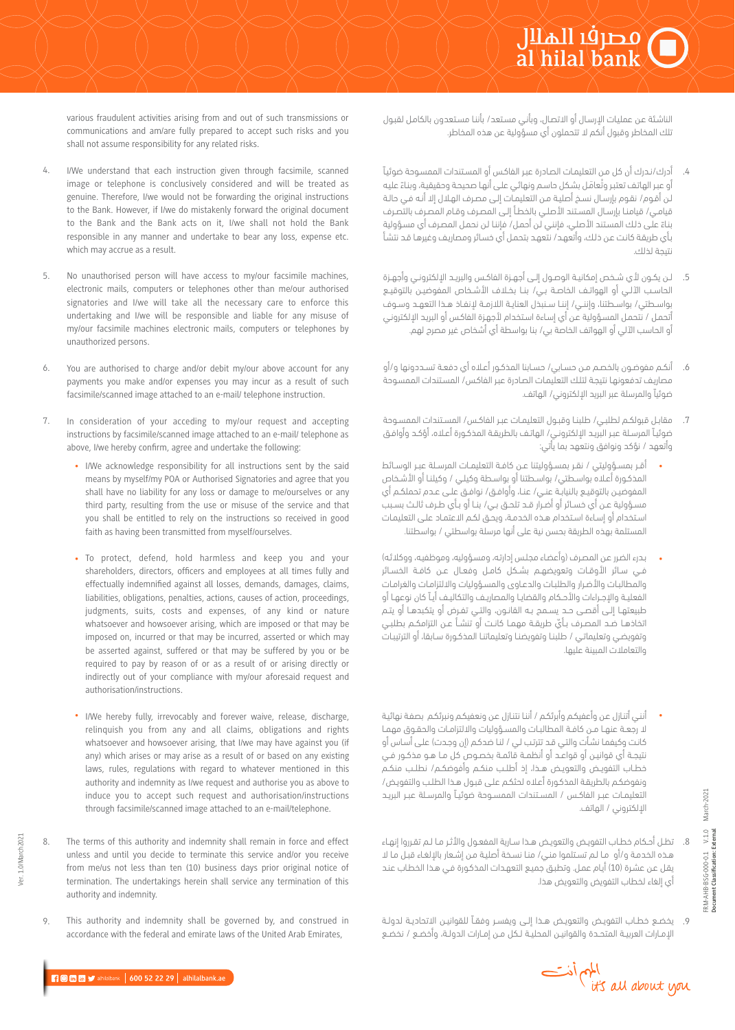various fraudulent activities arising from and out of such transmissions or communications and am/are fully prepared to accept such risks and you shall not assume responsibility for any related risks.

- I/We understand that each instruction given through facsimile, scanned image or telephone is conclusively considered and will be treated as genuine. Therefore, I/we would not be forwarding the original instructions to the Bank. However, if I/we do mistakenly forward the original document to the Bank and the Bank acts on it, I/we shall not hold the Bank responsible in any manner and undertake to bear any loss, expense etc. which may accrue as a result. 4.
- No unauthorised person will have access to my/our facsimile machines, electronic mails, computers or telephones other than me/our authorised signatories and I/we will take all the necessary care to enforce this undertaking and I/we will be responsible and liable for any misuse of my/our facsimile machines electronic mails, computers or telephones by unauthorized persons. 5.
- You are authorised to charge and/or debit my/our above account for any payments you make and/or expenses you may incur as a result of such facsimile/scanned image attached to an e-mail/ telephone instruction. 6.
- In consideration of your acceding to my/our request and accepting instructions by facsimile/scanned image attached to an e-mail/ telephone as above, I/we hereby confirm, agree and undertake the following: 7.
	- I/We acknowledge responsibility for all instructions sent by the said means by myself/my POA or Authorised Signatories and agree that you shall have no liability for any loss or damage to me/ourselves or any third party, resulting from the use or misuse of the service and that you shall be entitled to rely on the instructions so received in good faith as having been transmitted from myself/ourselves.
	- To protect, defend, hold harmless and keep you and your shareholders, directors, officers and employees at all times fully and effectually indemnified against all losses, demands, damages, claims, liabilities, obligations, penalties, actions, causes of action, proceedings, judgments, suits, costs and expenses, of any kind or nature whatsoever and howsoever arising, which are imposed or that may be imposed on, incurred or that may be incurred, asserted or which may be asserted against, suffered or that may be suffered by you or be required to pay by reason of or as a result of or arising directly or indirectly out of your compliance with my/our aforesaid request and authorisation/instructions.
	- I/We hereby fully, irrevocably and forever waive, release, discharge, relinquish you from any and all claims, obligations and rights whatsoever and howsoever arising, that I/we may have against you (if any) which arises or may arise as a result of or based on any existing laws, rules, regulations with regard to whatever mentioned in this authority and indemnity as I/we request and authorise you as above to induce you to accept such request and authorisation/instructions through facsimile/scanned image attached to an e-mail/telephone.
	- The terms of this authority and indemnity shall remain in force and effect unless and until you decide to terminate this service and/or you receive from me/us not less than ten (10) business days prior original notice of termination. The undertakings herein shall service any termination of this authority and indemnity.
	- This authority and indemnity shall be governed by, and construed in accordance with the federal and emirate laws of the United Arab Emirates,

الناشـئة عـن عمليـات الإرسـال أو الاتصـال، وبأنـي مسـتعد/ بأننـا مسـتعدون بالكامـل لقبـول تلك المخاطر وقبول أنكم لا تتحملون أي مسؤولية عن هذه المخاطر.

- أدرك/نـدرك أن كل مـن التعليمـات الصـادرة عبـر الفاكـس أو المسـتندات الممسـوحة ضوئيـاً أو عبـر الهاتف تعتبـر وتُعامَـل بشكل حاسـم ونهائـي علـى أنهـا صحيحـة وحقيقيـة، وبناءً عليـه لـن أقـوم/ نقـوم بإرسـال نسـخ أصليـة مـن التعليمـات إلـى مصـرف الهـلال إلا أنـه فـي حالـة قيامـي/ قيامنـا بإرسـال المسـتند الأصلـي بالخطـأ إلـى المصـرف وقـام المصـرف بالتصـرف بناءَ على ذلك المستند الأصلي، فإنني لن أحمل/ فإننا لن نحمل المصرف أي مسؤولية بـأي طريقـة كانـت عـن ذلـك، وأتعهـد/ نتعهـد بتحمـل أي خسـائر ومصاريـف وغيرهـا قـد نتشـأ نتيجة لذلك. .4
- لــن يكــون لأي شــخص إمكانيــة الوصــول إلــى أجهــزة الفاكــس والبريــد الإلكترونــي وأجهــزة الحاســب الآلــي أو الهواتـف الخاصــة بــي/ بنــا بخــلاف الأشــخاص المفوضيــن بالتوقيــع بواســطتي/ بواســطتنا، وإننــي/ إننــا ســنبذل العنايــة اللازمــة لإنفــاذ هــذا التعهــد وســوف أتحمـل / نتحمـل المسـؤولية عـن أي إسـاءة اسـتخدام لأجهـزة الفاكـس أو البريـد الإلكترونـي أو الحاسب الآلي أو الهواتف الخاصة بي/ بنا بواسطة أي أشخاص غير مصرح لهم. .5
- أنكـم مفوضـون بالخصـم مـن حسـابي/ حسـابنا المذكـور أعـلاه أي دفعـة تسـددونها و/أو مصاريـف تدفعونهـا نتيجـة لتلـك التعليمـات الصـادرة عبـر الفاكـس/ المسـتندات الممسـوحة ضوئياً والمرسلة عبر البريد الإلكتروني/ الهاتف. .6
- مقابـل قبولكـم لطلبـي/ طلبنـا وقبـول التعليمـات عبـر الفاكـس/ المســتندات الممسـوحة ضوئيـاً المرسـلة عبـر البريـد الإلكترونـي/ الهاتـف بالطريقـة المذكـورة أعـلاه، أؤكـد وأوافـق وأتعهد / نؤكد ونوافق ونتعهد بما يأتي: .7
- أقــر بمســؤوليتي / نقــر بمســؤوليتنا عــن كافــة التعليمــات المرســلة عبــر الوســائط المذكـورة أعـلاه بواسـطتي/ بواسـطتنا أو بواسـطة وكيلـي / وكيلنـا أو الأشـخاص المفوضيــن بالتوقيــع بالنيابــة عنــي/ عنــا، وأوافــق/ نوافــق علــى عــدم تحملكــم أي مســؤولية عــن أي خســائر أو أضــرار قــد تلحــق بــي/ بنــا أو بــأي طــرف ثالــث بســبب اسـتخدام أو إسـاءة اسـتخدام هـذه الخدمـة، ويحـق لكـم الاعتمـاد علـى التعليمـات المستلمة بهذه الطريقة بحسن نية على أنها مرسلة بواسطتي / بواسطتنا.
- بـدرء الضـرر عـن المصـرف (وأعضـاء مجلـس إدارتـه، ومسـؤوليه، وموظفيـه، ووكلائـه) فــي ســائر الأوقــات وتعويضهــم بشــكل كامــل وفعــال عــن كافــة الخســائر والمطالبـات والأضـرار والطلبـات والدعـاوى والمسـؤوليات والالتزامـات والغرامـات الفعليــة والإجــراءات والأحــكام والقضايــا والمصاريــف والتكاليــف أيــاً كان نوعهــا أو طبيعتهــا إلــى أقصــى حــد يســمح بــه القانــون، والتــي تفــرض أو يتكبدهــا أو يتــم ّ اتخاذهــا ضــد المصــرف بــأي طريقــة مهمــا كانــت أو تنشــأ عــن التزامكــم بطلبــي وتفويضـي وتعليماتـي / طلبنـا وتفويضنـا وتعليماتنـا المذكـورة سـابقا، أو الترتيبـات والتعاملات المبينة عليها.
- أننـي أتنـازل عـن وأعفيكـم وأبرئكـم / أننـا نتنـازل عـن ونعفيكـم ونبرئكـم بصفـة نهائيـة لا رجعــة عنهــا مــن كافــة المطالبــات والمســؤوليات والالتزامــات والحقــوق مهمــا كانـت وكيفمـا نشـأت والتـي قـد تترتـب لـي / لنـا ضدكـم (إن وجـدت) علـى أسـاس أو نتيجــة أي قوانيــن أو قواعــد أو أنظمــة قائمــة بخصــوص كل مــا هــو مذكــور فــي خطـاب التفويـض والتعويـض هــذا، إذ أطلــب منكـم وأفوضكــم/ نطلــب منكــم ونفوضكـم بالطريقـة المذكـورة أعـلاه لحثكـم علـى قبـول هـذا الطلـب والتفويـض/ التعليمــات عبــر الفاكــس / المســتندات الممســوحة ضوئيــاً والمرســلة عبــر البريــد الإلكتروني / الهاتف.
- 8. تظـل أحـكام خطـاب التفويـض والتعويـض هــذا سـارية المفعــول والأثــر مـا لــم تقـرروا إنهـاء هـذه الخدمـة و/أو مـا لـم تسـتلموا منـي/ منـا نسـخة أصليـة مـن إشـعار بالإلغـاء قبـل مـا لا يقـل عـن عشـرة (10) أيـام عمـل. وتطبـق جميـع التعهـدات المذكـورة فـي هـذا الخطـاب عنـد أي إلغاء لخطاب التفويض والتعويض هذا.
- 9. يخضــع خطــاب التفويــض والتعويــض هــذا إلــى ويفســر وفقــا للقوانيــن الاتحاديــة لدولــة الإمــارات العربيــة المتحــدة والقوانيــن المحليــة لــكل مــن إمــارات الدولــة، وأخضــع / نخضــع

المهم أذت<br>it's all about you

FRM-AHB-BSG-000-0.1 V.1.0 March-2021 **Document Classification: External**

FRM-AHB-BSG-000-0.1 V.1.0<br>Document Classification: External

March-2021

8.

9.